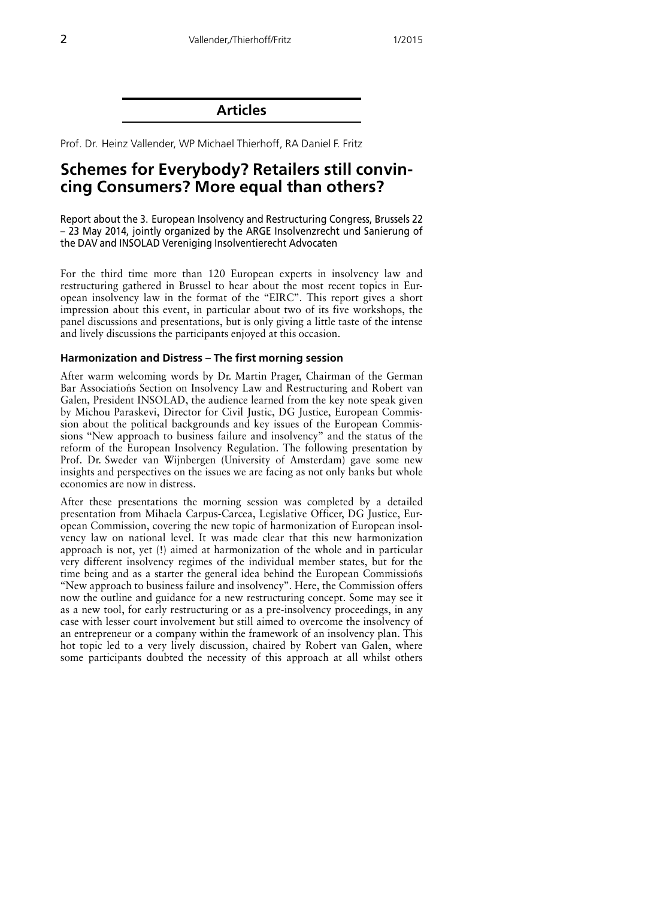**Articles** 

Prof. Dr. Heinz Vallender. WP Michael Thierhoff. RA Daniel F. Fritz

# Schemes for Everybody? Retailers still convincing Consumers? More equal than others?

Report about the 3. European Insolvency and Restructuring Congress, Brussels 22 - 23 May 2014, jointly organized by the ARGE Insolvenzrecht und Sanierung of the DAV and INSOLAD Vereniging Insolventierecht Advocaten

For the third time more than 120 European experts in insolvency law and restructuring gathered in Brussel to hear about the most recent topics in European insolvency law in the format of the "EIRC". This report gives a short impression about this event, in particular about two of its five workshops, the panel discussions and presentations, but is only giving a little taste of the intense and lively discussions the participants enjoyed at this occasion.

#### Harmonization and Distress - The first morning session

After warm welcoming words by Dr. Martin Prager, Chairman of the German Bar Associations Section on Insolvency Law and Restructuring and Robert van Galen, President INSOLAD, the audience learned from the key note speak given by Michou Paraskevi, Director for Civil Justic, DG Justice, European Commission about the political backgrounds and key issues of the European Commissions "New approach to business failure and insolvency" and the status of the reform of the European Insolvency Regulation. The following presentation by Prof. Dr. Sweder van Wijnbergen (University of Amsterdam) gave some new insights and perspectives on the issues we are facing as not only banks but whole economies are now in distress.

After these presentations the morning session was completed by a detailed presentation from Mihaela Carpus-Carcea, Legislative Officer, DG Justice, European Commission, covering the new topic of harmonization of European insolvency law on national level. It was made clear that this new harmonization approach is not, yet (!) aimed at harmonization of the whole and in particular very different insolvency regimes of the individual member states, but for the time being and as a starter the general idea behind the European Commissions "New approach to business failure and insolvency". Here, the Commission offers now the outline and guidance for a new restructuring concept. Some may see it as a new tool, for early restructuring or as a pre-insolvency proceedings, in any case with lesser court involvement but still aimed to overcome the insolvency of an entrepreneur or a company within the framework of an insolvency plan. This hot topic led to a very lively discussion, chaired by Robert van Galen, where some participants doubted the necessity of this approach at all whilst others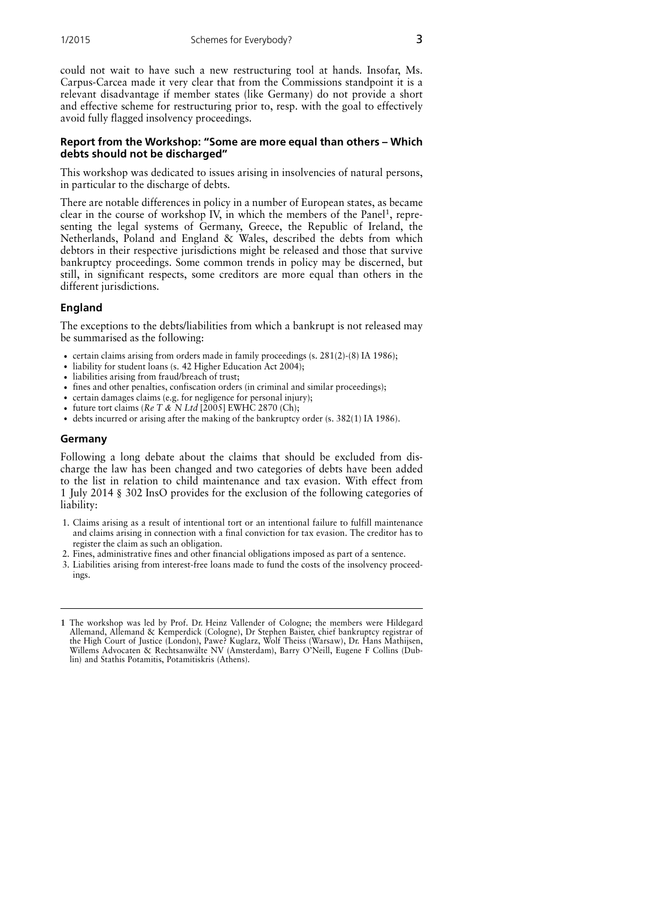could not wait to have such a new restructuring tool at hands. Insofar, Ms. Carpus-Carcea made it very clear that from the Commissions standpoint it is a relevant disadvantage if member states (like Germany) do not provide a short and effective scheme for restructuring prior to, resp. with the goal to effectively avoid fully flagged insolvency proceedings.

### Report from the Workshop: "Some are more equal than others - Which debts should not be discharged"

This workshop was dedicated to issues arising in insolvencies of natural persons, in particular to the discharge of debts.

There are notable differences in policy in a number of European states, as became clear in the course of workshop IV, in which the members of the Panel<sup>1</sup>, representing the legal systems of Germany, Greece, the Republic of Ireland, the Netherlands, Poland and England & Wales, described the debts from which debtors in their respective jurisdictions might be released and those that survive bankruptcy proceedings. Some common trends in policy may be discerned, but still, in significant respects, some creditors are more equal than others in the different jurisdictions.

### **England**

The exceptions to the debts/liabilities from which a bankrupt is not released may be summarised as the following:

- certain claims arising from orders made in family proceedings (s.  $281(2)$ -(8) IA 1986);
- liability for student loans (s. 42 Higher Education Act 2004);
- · liabilities arising from fraud/breach of trust;
- fines and other penalties, confiscation orders (in criminal and similar proceedings);
- certain damages claims (e.g. for negligence for personal injury);
- future tort claims ( $Re T & N Ltd$  [2005] EWHC 2870 (Ch);
- debts incurred or arising after the making of the bankruptcy order (s. 382(1) IA 1986).

### Germany

Following a long debate about the claims that should be excluded from discharge the law has been changed and two categories of debts have been added to the list in relation to child maintenance and tax evasion. With effect from 1 July 2014 § 302 InsO provides for the exclusion of the following categories of liability:

- 1. Claims arising as a result of intentional tort or an intentional failure to fulfill maintenance and claims arising in connection with a final conviction for tax evasion. The creditor has to register the claim as such an obligation.
- 2. Fines, administrative fines and other financial obligations imposed as part of a sentence.
- 3. Liabilities arising from interest-free loans made to fund the costs of the insolvency proceedings.

<sup>1</sup> The workshop was led by Prof. Dr. Heinz Vallender of Cologne; the members were Hildegard Allemand, Allemand & Kemperdick (Cologne), Dr Stephen Baister, chief bankruptcy registrar of the High Court of Justice (London), Pawe? Kuglarz, Wolf Theiss (Warsaw), Dr. Hans Mathijsen,<br>Willems Advocaten & Rechtsanwälte NV (Amsterdam), Barry O'Neill, Eugene F Collins (Dublin) and Stathis Potamitis, Potamitiskris (Athens).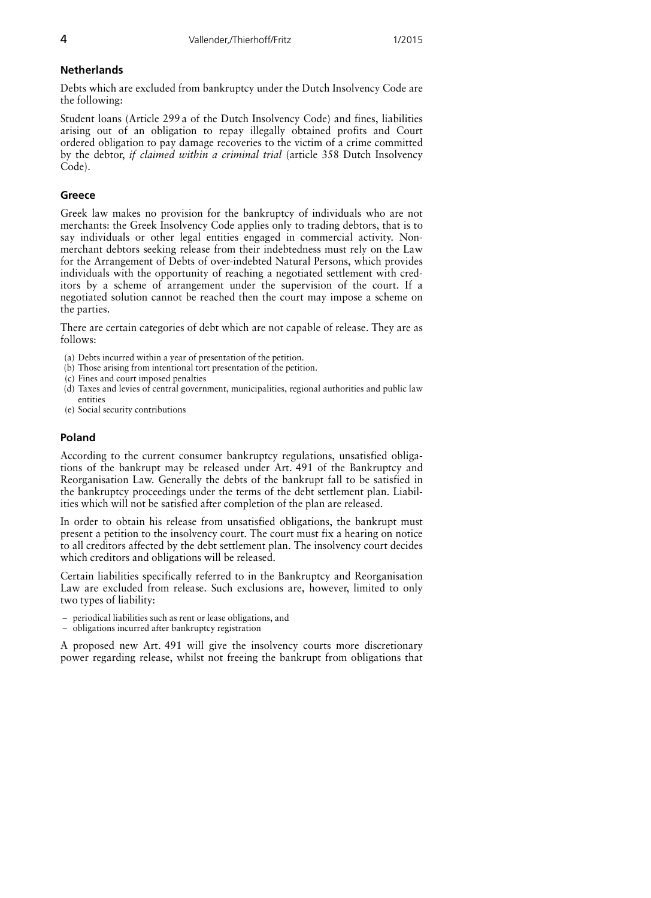## **Netherlands**

Debts which are excluded from bankruptcy under the Dutch Insolvency Code are the following:

Student loans (Article 299 a of the Dutch Insolvency Code) and fines, liabilities arising out of an obligation to repay illegally obtained profits and Court ordered obligation to pay damage recoveries to the victim of a crime committed by the debtor, if claimed within a criminal trial (article 358 Dutch Insolvency Code).

# Greece

Greek law makes no provision for the bankruptcy of individuals who are not merchants: the Greek Insolvency Code applies only to trading debtors, that is to say individuals or other legal entities engaged in commercial activity. Nonmerchant debtors seeking release from their indebtedness must rely on the Law for the Arrangement of Debts of over-indebted Natural Persons, which provides individuals with the opportunity of reaching a negotiated settlement with creditors by a scheme of arrangement under the supervision of the court. If a negotiated solution cannot be reached then the court may impose a scheme on the parties.

There are certain categories of debt which are not capable of release. They are as follows:

- (a) Debts incurred within a year of presentation of the petition.
- (b) Those arising from intentional tort presentation of the petition.
- (c) Fines and court imposed penalties
- (d) Taxes and levies of central government, municipalities, regional authorities and public law entities
- (e) Social security contributions

# Poland

According to the current consumer bankruptcy regulations, unsatisfied obligations of the bankrupt may be released under Art. 491 of the Bankruptcy and Reorganisation Law. Generally the debts of the bankrupt fall to be satisfied in the bankruptcy proceedings under the terms of the debt settlement plan. Liabilities which will not be satisfied after completion of the plan are released.

In order to obtain his release from unsatisfied obligations, the bankrupt must present a petition to the insolvency court. The court must fix a hearing on notice to all creditors affected by the debt settlement plan. The insolvency court decides which creditors and obligations will be released.

Certain liabilities specifically referred to in the Bankruptcy and Reorganisation Law are excluded from release. Such exclusions are, however, limited to only two types of liability:

- periodical liabilities such as rent or lease obligations, and
- obligations incurred after bankruptcy registration

A proposed new Art. 491 will give the insolvency courts more discretionary power regarding release, whilst not freeing the bankrupt from obligations that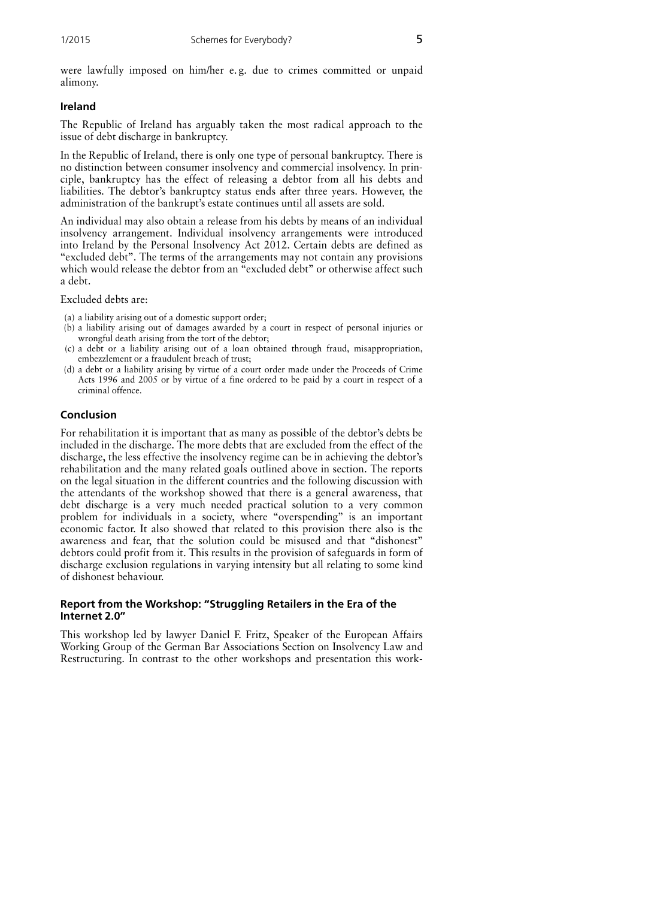were lawfully imposed on him/her e.g. due to crimes committed or unpaid alimony.

#### Ireland

The Republic of Ireland has arguably taken the most radical approach to the issue of debt discharge in bankruptcy.

In the Republic of Ireland, there is only one type of personal bankruptcy. There is no distinction between consumer insolvency and commercial insolvency. In principle, bankruptcy has the effect of releasing a debtor from all his debts and liabilities. The debtor's bankruptcy status ends after three years. However, the administration of the bankrupt's estate continues until all assets are sold.

An individual may also obtain a release from his debts by means of an individual insolvency arrangement. Individual insolvency arrangements were introduced into Ireland by the Personal Insolvency Act 2012. Certain debts are defined as "excluded debt". The terms of the arrangements may not contain any provisions which would release the debtor from an "excluded debt" or otherwise affect such a debt.

Excluded debts are:

- (a) a liability arising out of a domestic support order;
- (b) a liability arising out of damages awarded by a court in respect of personal injuries or wrongful death arising from the tort of the debtor;
- (c) a debt or a liability arising out of a loan obtained through fraud, misappropriation, embezzlement or a fraudulent breach of trust;
- (d) a debt or a liability arising by virtue of a court order made under the Proceeds of Crime Acts 1996 and 2005 or by virtue of a fine ordered to be paid by a court in respect of a criminal offence.

### Conclusion

For rehabilitation it is important that as many as possible of the debtor's debts be included in the discharge. The more debts that are excluded from the effect of the discharge, the less effective the insolvency regime can be in achieving the debtor's rehabilitation and the many related goals outlined above in section. The reports on the legal situation in the different countries and the following discussion with the attendants of the workshop showed that there is a general awareness, that debt discharge is a very much needed practical solution to a very common problem for individuals in a society, where "overspending" is an important economic factor. It also showed that related to this provision there also is the awareness and fear, that the solution could be misused and that "dishonest" debtors could profit from it. This results in the provision of safeguards in form of discharge exclusion regulations in varying intensity but all relating to some kind of dishonest behaviour.

### Report from the Workshop: "Struggling Retailers in the Era of the Internet 2.0"

This workshop led by lawyer Daniel F. Fritz, Speaker of the European Affairs Working Group of the German Bar Associations Section on Insolvency Law and Restructuring. In contrast to the other workshops and presentation this work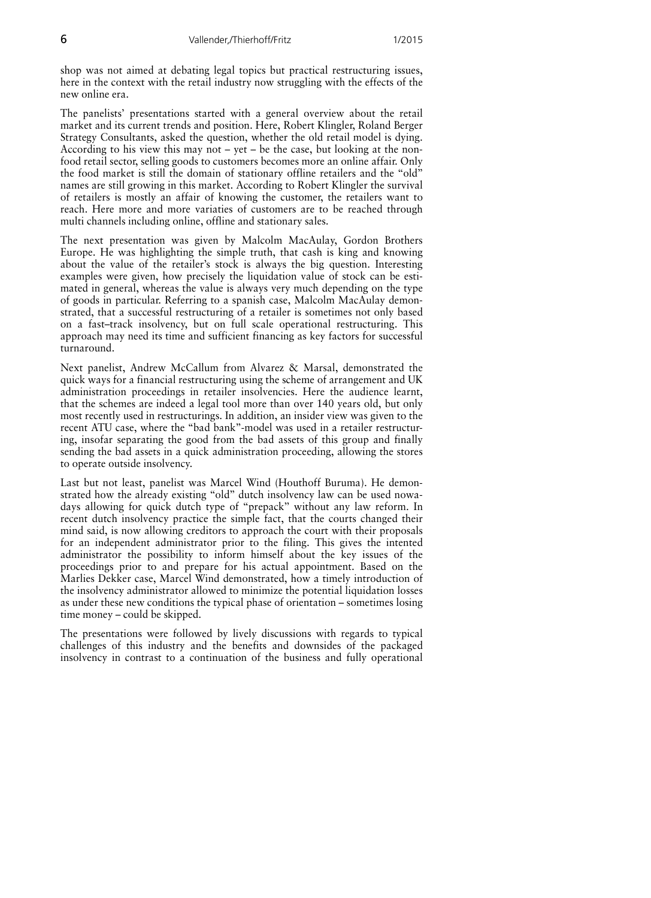shop was not aimed at debating legal topics but practical restructuring issues, here in the context with the retail industry now struggling with the effects of the new online era.

The panelists' presentations started with a general overview about the retail market and its current trends and position. Here, Robert Klingler, Roland Berger Strategy Consultants, asked the question, whether the old retail model is dying. According to his view this may not  $-$  yet  $-$  be the case, but looking at the nonfood retail sector, selling goods to customers becomes more an online affair. Only the food market is still the domain of stationary offline retailers and the "old" names are still growing in this market. According to Robert Klingler the survival of retailers is mostly an affair of knowing the customer, the retailers want to reach. Here more and more variaties of customers are to be reached through multi channels including online, offline and stationary sales.

The next presentation was given by Malcolm MacAulay, Gordon Brothers Europe. He was highlighting the simple truth, that cash is king and knowing about the value of the retailer's stock is always the big question. Interesting examples were given, how precisely the liquidation value of stock can be estimated in general, whereas the value is always very much depending on the type of goods in particular. Referring to a spanish case, Malcolm MacAulay demonstrated, that a successful restructuring of a retailer is sometimes not only based on a fast-track insolvency, but on full scale operational restructuring. This approach may need its time and sufficient financing as key factors for successful turnaround.

Next panelist, Andrew McCallum from Alvarez & Marsal, demonstrated the quick ways for a financial restructuring using the scheme of arrangement and UK administration proceedings in retailer insolvencies. Here the audience learnt, that the schemes are indeed a legal tool more than over 140 years old, but only most recently used in restructurings. In addition, an insider view was given to the recent ATU case, where the "bad bank"-model was used in a retailer restructuring, insofar separating the good from the bad assets of this group and finally sending the bad assets in a quick administration proceeding, allowing the stores to operate outside insolvency.

Last but not least, panelist was Marcel Wind (Houthoff Buruma). He demonstrated how the already existing "old" dutch insolvency law can be used nowadays allowing for quick dutch type of "prepack" without any law reform. In recent dutch insolvency practice the simple fact, that the courts changed their mind said, is now allowing creditors to approach the court with their proposals for an independent administrator prior to the filing. This gives the intented administrator the possibility to inform himself about the key issues of the proceedings prior to and prepare for his actual appointment. Based on the Marlies Dekker case, Marcel Wind demonstrated, how a timely introduction of the insolvency administrator allowed to minimize the potential liquidation losses as under these new conditions the typical phase of orientation – sometimes losing time money – could be skipped.

The presentations were followed by lively discussions with regards to typical challenges of this industry and the benefits and downsides of the packaged insolvency in contrast to a continuation of the business and fully operational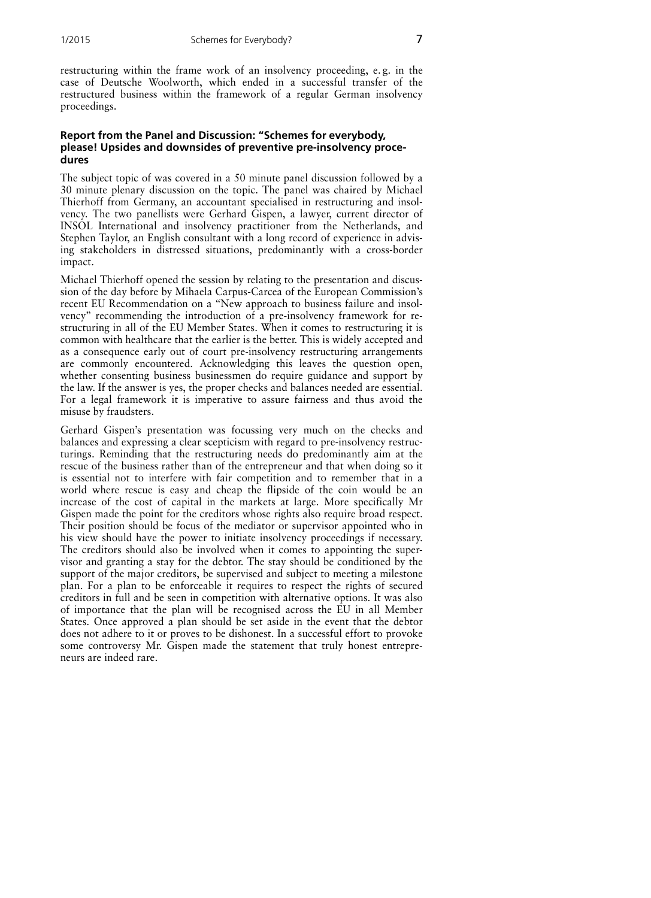restructuring within the frame work of an insolvency proceeding, e.g. in the case of Deutsche Woolworth, which ended in a successful transfer of the restructured business within the framework of a regular German insolvency proceedings.

### Report from the Panel and Discussion: "Schemes for everybody, please! Upsides and downsides of preventive pre-insolvency procedures

The subject topic of was covered in a 50 minute panel discussion followed by a 30 minute plenary discussion on the topic. The panel was chaired by Michael Thierhoff from Germany, an accountant specialised in restructuring and insolvency. The two panellists were Gerhard Gispen, a lawyer, current director of INSOL International and insolvency practitioner from the Netherlands, and Stephen Taylor, an English consultant with a long record of experience in advising stakeholders in distressed situations, predominantly with a cross-border impact.

Michael Thierhoff opened the session by relating to the presentation and discussion of the day before by Mihaela Carpus-Carcea of the European Commission's recent EU Recommendation on a "New approach to business failure and insolvency" recommending the introduction of a pre-insolvency framework for restructuring in all of the EU Member States. When it comes to restructuring it is common with healthcare that the earlier is the better. This is widely accepted and as a consequence early out of court pre-insolvency restructuring arrangements are commonly encountered. Acknowledging this leaves the question open, whether consenting business businessmen do require guidance and support by the law. If the answer is yes, the proper checks and balances needed are essential. For a legal framework it is imperative to assure fairness and thus avoid the misuse by fraudsters.

Gerhard Gispen's presentation was focussing very much on the checks and balances and expressing a clear scepticism with regard to pre-insolvency restructurings. Reminding that the restructuring needs do predominantly aim at the rescue of the business rather than of the entrepreneur and that when doing so it is essential not to interfere with fair competition and to remember that in a world where rescue is easy and cheap the flipside of the coin would be an increase of the cost of capital in the markets at large. More specifically Mr Gispen made the point for the creditors whose rights also require broad respect. Their position should be focus of the mediator or supervisor appointed who in his view should have the power to initiate insolvency proceedings if necessary. The creditors should also be involved when it comes to appointing the supervisor and granting a stay for the debtor. The stay should be conditioned by the support of the major creditors, be supervised and subject to meeting a milestone plan. For a plan to be enforceable it requires to respect the rights of secured creditors in full and be seen in competition with alternative options. It was also of importance that the plan will be recognised across the EU in all Member States. Once approved a plan should be set aside in the event that the debtor does not adhere to it or proves to be dishonest. In a successful effort to provoke some controversy Mr. Gispen made the statement that truly honest entrepreneurs are indeed rare.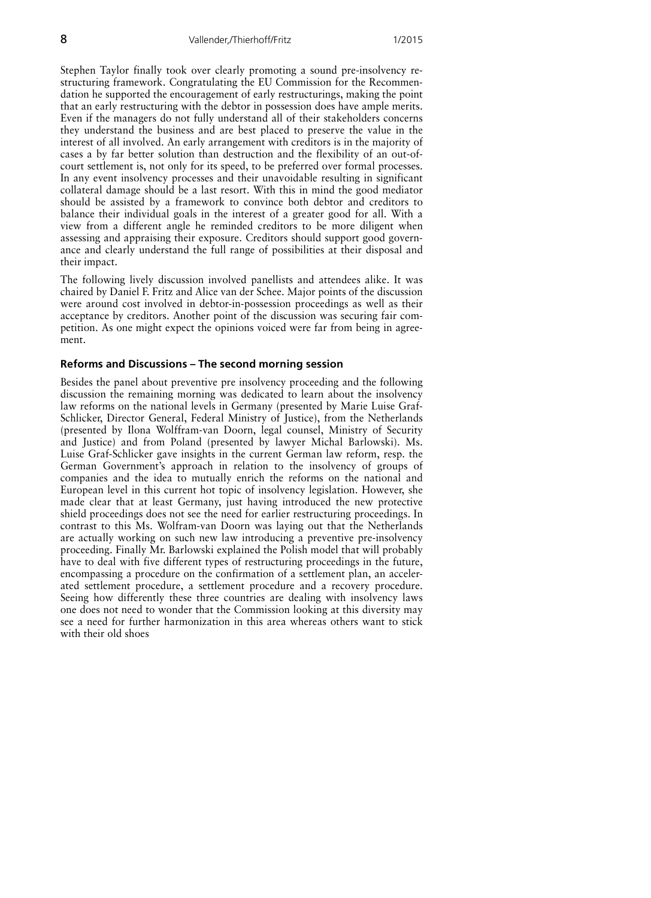Stephen Taylor finally took over clearly promoting a sound pre-insolvency restructuring framework. Congratulating the EU Commission for the Recommendation he supported the encouragement of early restructurings, making the point that an early restructuring with the debtor in possession does have ample merits. Even if the managers do not fully understand all of their stakeholders concerns they understand the business and are best placed to preserve the value in the interest of all involved. An early arrangement with creditors is in the majority of cases a by far better solution than destruction and the flexibility of an out-ofcourt settlement is, not only for its speed, to be preferred over formal processes. In any event insolvency processes and their unavoidable resulting in significant collateral damage should be a last resort. With this in mind the good mediator should be assisted by a framework to convince both debtor and creditors to balance their individual goals in the interest of a greater good for all. With a view from a different angle he reminded creditors to be more diligent when assessing and appraising their exposure. Creditors should support good governance and clearly understand the full range of possibilities at their disposal and their impact.

The following lively discussion involved panellists and attendees alike. It was chaired by Daniel F. Fritz and Alice van der Schee. Major points of the discussion were around cost involved in debtor-in-possession proceedings as well as their acceptance by creditors. Another point of the discussion was securing fair competition. As one might expect the opinions voiced were far from being in agreement.

#### Reforms and Discussions - The second morning session

Besides the panel about preventive pre insolvency proceeding and the following discussion the remaining morning was dedicated to learn about the insolvency law reforms on the national levels in Germany (presented by Marie Luise Graf-Schlicker, Director General, Federal Ministry of Justice), from the Netherlands (presented by Ilona Wolffram-van Doorn, legal counsel, Ministry of Security and Justice) and from Poland (presented by lawyer Michal Barlowski). Ms. Luise Graf-Schlicker gave insights in the current German law reform, resp. the German Government's approach in relation to the insolvency of groups of companies and the idea to mutually enrich the reforms on the national and European level in this current hot topic of insolvency legislation. However, she made clear that at least Germany, just having introduced the new protective shield proceedings does not see the need for earlier restructuring proceedings. In contrast to this Ms. Wolfram-van Doorn was laying out that the Netherlands are actually working on such new law introducing a preventive pre-insolvency proceeding. Finally Mr. Barlowski explained the Polish model that will probably have to deal with five different types of restructuring proceedings in the future, encompassing a procedure on the confirmation of a settlement plan, an accelerated settlement procedure, a settlement procedure and a recovery procedure. Seeing how differently these three countries are dealing with insolvency laws one does not need to wonder that the Commission looking at this diversity may see a need for further harmonization in this area whereas others want to stick with their old shoes